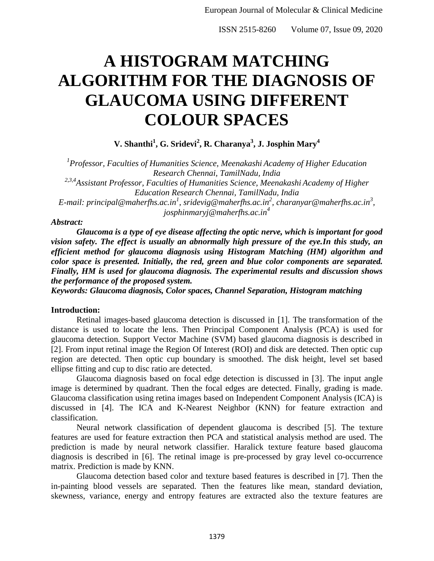# **A HISTOGRAM MATCHING ALGORITHM FOR THE DIAGNOSIS OF GLAUCOMA USING DIFFERENT COLOUR SPACES**

**V. Shanthi<sup>1</sup> , G. Sridevi<sup>2</sup> , R. Charanya<sup>3</sup> , J. Josphin Mary<sup>4</sup>**

*1 Professor, Faculties of Humanities Science, Meenakashi Academy of Higher Education Research Chennai, TamilNadu, India 2,3,4Assistant Professor, Faculties of Humanities Science, Meenakashi Academy of Higher Education Research Chennai, TamilNadu, India E-mail: principal@maherfhs.ac.in<sup>1</sup> , sridevig@maherfhs.ac.in<sup>2</sup> , charanyar@maherfhs.ac.in<sup>3</sup> , josphinmaryj@maherfhs.ac.in<sup>4</sup>*

### *Abstract:*

*Glaucoma is a type of eye disease affecting the optic nerve, which is important for good vision safety. The effect is usually an abnormally high pressure of the eye.In this study, an efficient method for glaucoma diagnosis using Histogram Matching (HM) algorithm and color space is presented. Initially, the red, green and blue color components are separated. Finally, HM is used for glaucoma diagnosis. The experimental results and discussion shows the performance of the proposed system.*

*Keywords: Glaucoma diagnosis, Color spaces, Channel Separation, Histogram matching*

## **Introduction:**

Retinal images-based glaucoma detection is discussed in [1]. The transformation of the distance is used to locate the lens. Then Principal Component Analysis (PCA) is used for glaucoma detection. Support Vector Machine (SVM) based glaucoma diagnosis is described in [2]. From input retinal image the Region Of Interest (ROI) and disk are detected. Then optic cup region are detected. Then optic cup boundary is smoothed. The disk height, level set based ellipse fitting and cup to disc ratio are detected.

Glaucoma diagnosis based on focal edge detection is discussed in [3]. The input angle image is determined by quadrant. Then the focal edges are detected. Finally, grading is made. Glaucoma classification using retina images based on Independent Component Analysis (ICA) is discussed in [4]. The ICA and K-Nearest Neighbor (KNN) for feature extraction and classification.

Neural network classification of dependent glaucoma is described [5]. The texture features are used for feature extraction then PCA and statistical analysis method are used. The prediction is made by neural network classifier. Haralick texture feature based glaucoma diagnosis is described in [6]. The retinal image is pre-processed by gray level co-occurrence matrix. Prediction is made by KNN.

Glaucoma detection based color and texture based features is described in [7]. Then the in-painting blood vessels are separated. Then the features like mean, standard deviation, skewness, variance, energy and entropy features are extracted also the texture features are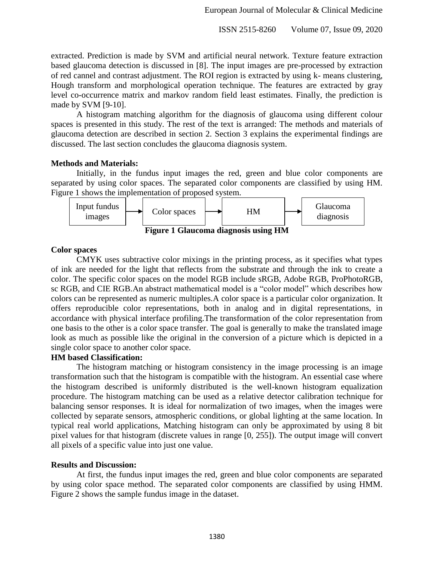extracted. Prediction is made by SVM and artificial neural network. Texture feature extraction based glaucoma detection is discussed in [8]. The input images are pre-processed by extraction of red cannel and contrast adjustment. The ROI region is extracted by using k- means clustering, Hough transform and morphological operation technique. The features are extracted by gray level co-occurrence matrix and markov random field least estimates. Finally, the prediction is made by SVM [9-10].

A histogram matching algorithm for the diagnosis of glaucoma using different colour spaces is presented in this study. The rest of the text is arranged: The methods and materials of glaucoma detection are described in section 2. Section 3 explains the experimental findings are discussed. The last section concludes the glaucoma diagnosis system.

#### **Methods and Materials:**

Initially, in the fundus input images the red, green and blue color components are separated by using color spaces. The separated color components are classified by using HM. Figure 1 shows the implementation of proposed system.



#### **Color spaces**

CMYK uses subtractive color mixings in the printing process, as it specifies what types of ink are needed for the light that reflects from the substrate and through the ink to create a color. The specific color spaces on the model RGB include sRGB, Adobe RGB, ProPhotoRGB, sc RGB, and CIE RGB.An abstract mathematical model is a "color model" which describes how colors can be represented as numeric multiples.A color space is a particular color organization. It offers reproducible color representations, both in analog and in digital representations, in accordance with physical interface profiling.The transformation of the color representation from one basis to the other is a color space transfer. The goal is generally to make the translated image look as much as possible like the original in the conversion of a picture which is depicted in a single color space to another color space.

#### **HM based Classification:**

The histogram matching or histogram consistency in the image processing is an image transformation such that the histogram is compatible with the histogram. An essential case where the histogram described is uniformly distributed is the well-known histogram equalization procedure. The histogram matching can be used as a relative detector calibration technique for balancing sensor responses. It is ideal for normalization of two images, when the images were collected by separate sensors, atmospheric conditions, or global lighting at the same location. In typical real world applications, Matching histogram can only be approximated by using 8 bit pixel values for that histogram (discrete values in range [0, 255]). The output image will convert all pixels of a specific value into just one value.

#### **Results and Discussion:**

At first, the fundus input images the red, green and blue color components are separated by using color space method. The separated color components are classified by using HMM. Figure 2 shows the sample fundus image in the dataset.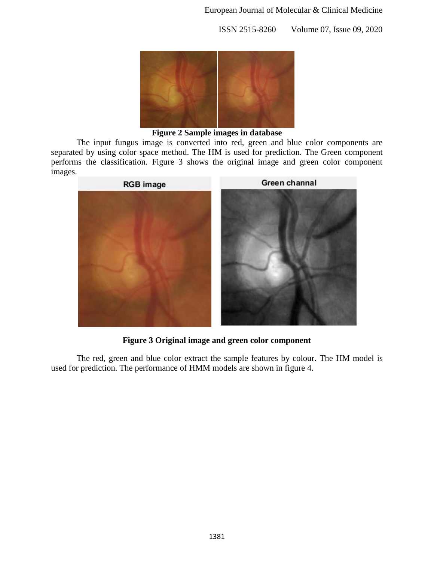

**Figure 2 Sample images in database**

The input fungus image is converted into red, green and blue color components are separated by using color space method. The HM is used for prediction. The Green component performs the classification. Figure 3 shows the original image and green color component images.



**Figure 3 Original image and green color component**

The red, green and blue color extract the sample features by colour. The HM model is used for prediction. The performance of HMM models are shown in figure 4.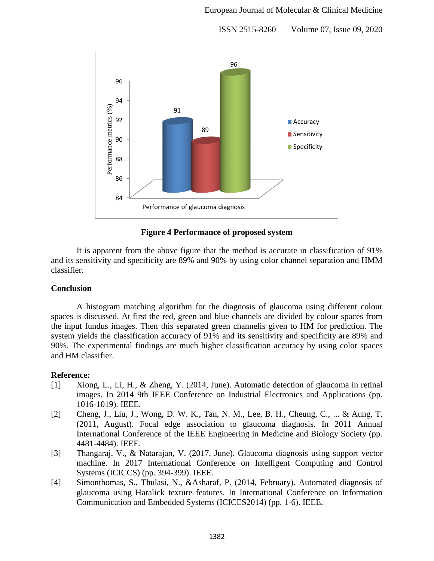

**Figure 4 Performance of proposed system**

It is apparent from the above figure that the method is accurate in classification of 91% and its sensitivity and specificity are 89% and 90% by using color channel separation and HMM classifier.

# **Conclusion**

A histogram matching algorithm for the diagnosis of glaucoma using different colour spaces is discussed. At first the red, green and blue channels are divided by colour spaces from the input fundus images. Then this separated green channelis given to HM for prediction. The system yields the classification accuracy of 91% and its sensitivity and specificity are 89% and 90%. The experimental findings are much higher classification accuracy by using color spaces and HM classifier.

# **Reference:**

- [1] Xiong, L., Li, H., & Zheng, Y. (2014, June). Automatic detection of glaucoma in retinal images. In 2014 9th IEEE Conference on Industrial Electronics and Applications (pp. 1016-1019). IEEE.
- [2] Cheng, J., Liu, J., Wong, D. W. K., Tan, N. M., Lee, B. H., Cheung, C., ... & Aung, T. (2011, August). Focal edge association to glaucoma diagnosis. In 2011 Annual International Conference of the IEEE Engineering in Medicine and Biology Society (pp. 4481-4484). IEEE.
- [3] Thangaraj, V., & Natarajan, V. (2017, June). Glaucoma diagnosis using support vector machine. In 2017 International Conference on Intelligent Computing and Control Systems (ICICCS) (pp. 394-399). IEEE.
- [4] Simonthomas, S., Thulasi, N., &Asharaf, P. (2014, February). Automated diagnosis of glaucoma using Haralick texture features. In International Conference on Information Communication and Embedded Systems (ICICES2014) (pp. 1-6). IEEE.